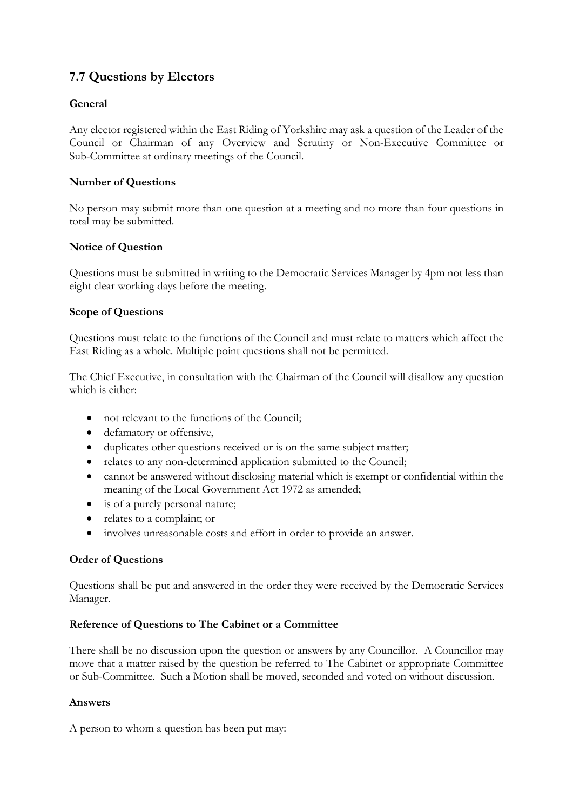# **7.7 Questions by Electors**

## **General**

Any elector registered within the East Riding of Yorkshire may ask a question of the Leader of the Council or Chairman of any Overview and Scrutiny or Non-Executive Committee or Sub-Committee at ordinary meetings of the Council.

### **Number of Questions**

No person may submit more than one question at a meeting and no more than four questions in total may be submitted.

### **Notice of Question**

Questions must be submitted in writing to the Democratic Services Manager by 4pm not less than eight clear working days before the meeting.

### **Scope of Questions**

Questions must relate to the functions of the Council and must relate to matters which affect the East Riding as a whole. Multiple point questions shall not be permitted.

The Chief Executive, in consultation with the Chairman of the Council will disallow any question which is either:

- not relevant to the functions of the Council:
- defamatory or offensive,
- duplicates other questions received or is on the same subject matter;
- relates to any non-determined application submitted to the Council;
- cannot be answered without disclosing material which is exempt or confidential within the meaning of the Local Government Act 1972 as amended;
- is of a purely personal nature;
- relates to a complaint; or
- involves unreasonable costs and effort in order to provide an answer.

### **Order of Questions**

Questions shall be put and answered in the order they were received by the Democratic Services Manager.

### **Reference of Questions to The Cabinet or a Committee**

There shall be no discussion upon the question or answers by any Councillor. A Councillor may move that a matter raised by the question be referred to The Cabinet or appropriate Committee or Sub-Committee. Such a Motion shall be moved, seconded and voted on without discussion.

### **Answers**

A person to whom a question has been put may: